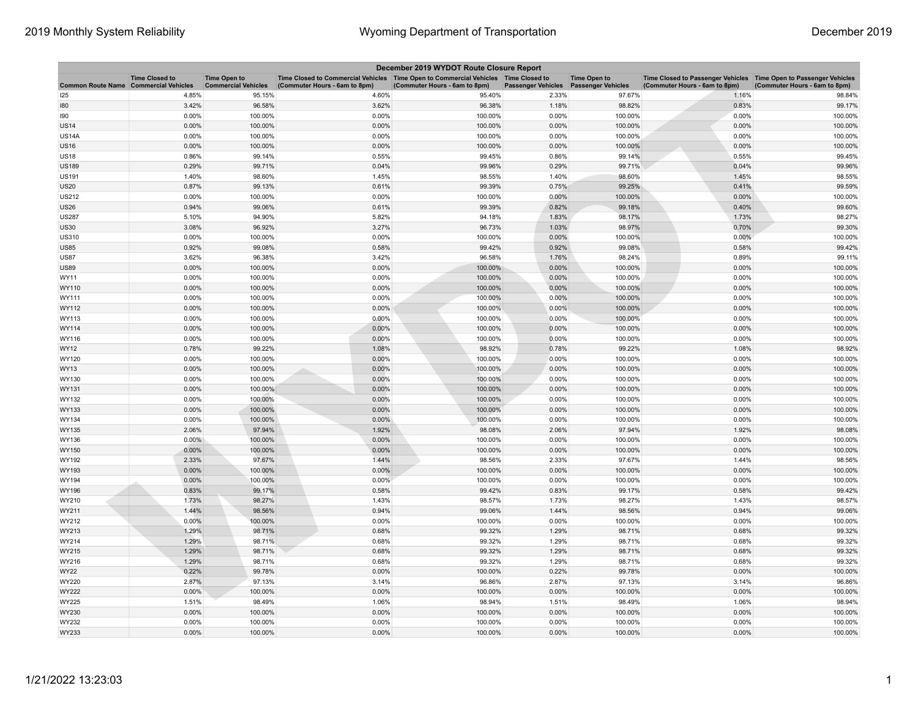| December 2019 WYDOT Route Closure Report     |                       |                                                   |                                                                                                                       |                               |                           |                                                  |                                                                                                    |                               |  |
|----------------------------------------------|-----------------------|---------------------------------------------------|-----------------------------------------------------------------------------------------------------------------------|-------------------------------|---------------------------|--------------------------------------------------|----------------------------------------------------------------------------------------------------|-------------------------------|--|
| <b>Common Route Name Commercial Vehicles</b> | <b>Time Closed to</b> | <b>Time Open to</b><br><b>Commercial Vehicles</b> | Time Closed to Commercial Vehicles  Time Open to Commercial Vehicles  Time Closed to<br>(Commuter Hours - 6am to 8pm) | (Commuter Hours - 6am to 8pm) | <b>Passenger Vehicles</b> | <b>Time Open to</b><br><b>Passenger Vehicles</b> | Time Closed to Passenger Vehicles Time Open to Passenger Vehicles<br>(Commuter Hours - 6am to 8pm) | (Commuter Hours - 6am to 8pm) |  |
| 125                                          | 4.85%                 | 95.15%                                            | 4.60%                                                                                                                 | 95.40%                        | 2.33%                     | 97.67%                                           | 1.16%                                                                                              | 98.84%                        |  |
| 180                                          | 3.42%                 | 96.58%                                            | 3.62%                                                                                                                 | 96.38%                        | 1.18%                     | 98.82%                                           | 0.83%                                                                                              | 99.17%                        |  |
| 190                                          | 0.00%                 | 100.00%                                           | 0.00%                                                                                                                 | 100.00%                       | 0.00%                     | 100.00%                                          | 0.00%                                                                                              | 100.00%                       |  |
| <b>US14</b>                                  | 0.00%                 | 100.00%                                           | 0.00%                                                                                                                 | 100.00%                       | 0.00%                     | 100.00%                                          | 0.00%                                                                                              | 100.00%                       |  |
| <b>US14A</b>                                 | 0.00%                 | 100.00%                                           | 0.00%                                                                                                                 | 100.00%                       | 0.00%                     | 100.00%                                          | 0.00%                                                                                              | 100.00%                       |  |
| <b>US16</b>                                  | 0.00%                 | 100.00%                                           | 0.00%                                                                                                                 | 100.00%                       | 0.00%                     | 100.00%                                          | 0.00%                                                                                              | 100.00%                       |  |
| US18                                         | 0.86%                 | 99.14%                                            | 0.55%                                                                                                                 | 99.45%                        | 0.86%                     | 99.14%                                           | 0.55%                                                                                              | 99.45%                        |  |
| <b>US189</b>                                 | 0.29%                 | 99.71%                                            | 0.04%                                                                                                                 | 99.96%                        | 0.29%                     | 99.71%                                           | 0.04%                                                                                              | 99.96%                        |  |
| <b>US191</b>                                 | 1.40%                 | 98.60%                                            | 1.45%                                                                                                                 | 98.55%                        | 1.40%                     | 98.60%                                           | 1.45%                                                                                              | 98.55%                        |  |
| <b>US20</b>                                  | 0.87%                 | 99.13%                                            | 0.61%                                                                                                                 | 99.39%                        | 0.75%                     | 99.25%                                           | 0.41%                                                                                              | 99.59%                        |  |
| <b>US212</b>                                 | 0.00%                 | 100.00%                                           | 0.00%                                                                                                                 | 100.00%                       | 0.00%                     | 100.00%                                          | $0.00\%$                                                                                           | 100.00%                       |  |
| <b>US26</b>                                  | 0.94%                 | 99.06%                                            | 0.61%                                                                                                                 | 99.39%                        | 0.82%                     | 99.18%                                           | 0.40%                                                                                              | 99.60%                        |  |
| <b>US287</b>                                 | 5.10%                 | 94.90%                                            | 5.82%                                                                                                                 | 94.18%                        | 1.83%                     | 98.17%                                           | 1.73%                                                                                              | 98.27%                        |  |
| <b>US30</b>                                  | 3.08%                 | 96.92%                                            | 3.27%                                                                                                                 | 96.73%                        | 1.03%                     | 98.97%                                           | 0.70%                                                                                              | 99.30%                        |  |
| <b>US310</b>                                 | 0.00%                 | 100.00%                                           | 0.00%                                                                                                                 | 100.00%                       | 0.00%                     | 100.00%                                          | 0.00%                                                                                              | 100.00%                       |  |
| <b>US85</b>                                  | 0.92%                 | 99.08%                                            | 0.58%                                                                                                                 | 99.42%                        | 0.92%                     | 99.08%                                           | 0.58%                                                                                              | 99.42%                        |  |
| <b>US87</b>                                  | 3.62%                 | 96.38%                                            | 3.42%                                                                                                                 | 96.58%                        | 1.76%                     | 98.24%                                           | 0.89%                                                                                              | 99.11%                        |  |
| US89                                         | 0.00%                 | 100.00%                                           | 0.00%                                                                                                                 | 100.00%                       | 0.00%                     | 100.00%                                          | 0.00%                                                                                              | 100.00%                       |  |
| WY11                                         | 0.00%                 | 100.00%                                           | 0.00%                                                                                                                 | 100.00%                       | 0.00%                     | 100.00%                                          | 0.00%                                                                                              | 100.00%                       |  |
| WY110                                        | 0.00%                 | 100.00%                                           | 0.00%                                                                                                                 | 100.00%                       | 0.00%                     | 100.00%                                          | 0.00%                                                                                              | 100.00%                       |  |
| WY111                                        | 0.00%                 | 100.00%                                           | 0.00%                                                                                                                 | 100.00%                       | 0.00%                     | 100.00%                                          | 0.00%                                                                                              | 100.00%                       |  |
| WY112                                        | 0.00%                 | 100.00%                                           | 0.00%                                                                                                                 | 100.00%                       | 0.00%                     | 100.00%                                          | 0.00%                                                                                              | 100.00%                       |  |
| WY113                                        | 0.00%                 | 100.00%                                           | 0.00%                                                                                                                 | 100.00%                       | 0.00%                     | 100.00%                                          | 0.00%                                                                                              | 100.00%                       |  |
| WY114                                        | 0.00%                 | 100.00%                                           | 0.00%                                                                                                                 | 100.00%                       | 0.00%                     | 100.00%                                          | 0.00%                                                                                              | 100.00%                       |  |
| WY116                                        | 0.00%                 | 100.00%                                           | 0.00%                                                                                                                 | 100.00%                       | 0.00%                     | 100.00%                                          | 0.00%                                                                                              | 100.00%                       |  |
| WY12                                         | 0.78%                 | 99.22%                                            | 1.08%                                                                                                                 | 98.92%                        | 0.78%                     | 99.22%                                           | 1.08%                                                                                              | 98.92%                        |  |
| WY120                                        | 0.00%                 | 100.00%                                           | 0.00%                                                                                                                 | 100.00%                       | 0.00%                     | 100.00%                                          | 0.00%                                                                                              | 100.00%                       |  |
| WY13                                         | 0.00%                 | 100.00%                                           | 0.00%                                                                                                                 | 100.00%                       | 0.00%                     | 100.00%                                          | 0.00%                                                                                              | 100.00%                       |  |
| WY130                                        | 0.00%                 | 100.00%                                           | 0.00%                                                                                                                 | 100.00%                       | 0.00%                     | 100.00%                                          | 0.00%                                                                                              | 100.00%                       |  |
| WY131                                        | 0.00%                 | 100.00%                                           | 0.00%                                                                                                                 | 100.00%                       | 0.00%                     | 100.00%                                          | 0.00%                                                                                              | 100.00%                       |  |
| WY132                                        | 0.00%                 | 100.00%                                           | 0.00%                                                                                                                 | 100.00%                       | 0.00%                     | 100.00%                                          | 0.00%                                                                                              | 100.00%                       |  |
| WY133                                        | 0.00%                 | 100.00%                                           | 0.00%                                                                                                                 | 100.00%                       | 0.00%                     | 100.00%                                          | 0.00%                                                                                              | 100.00%                       |  |
| WY134                                        | 0.00%                 | 100.00%                                           | 0.00%                                                                                                                 | 100.00%                       | 0.00%                     | 100.00%                                          | 0.00%                                                                                              | 100.00%                       |  |
| WY135                                        | 2.06%                 | 97.94%                                            | 1.92%                                                                                                                 | 98.08%                        | 2.06%                     | 97.94%                                           | 1.92%                                                                                              | 98.08%                        |  |
| WY136                                        | $0.00\%$              | 100.00%                                           | 0.00%                                                                                                                 | 100.00%                       | 0.00%                     | 100.00%                                          | 0.00%                                                                                              | 100.00%                       |  |
| WY150                                        | 0.00%                 | 100.00%                                           | 0.00%                                                                                                                 | 100.00%                       | 0.00%                     | 100.00%                                          | 0.00%                                                                                              | 100.00%                       |  |
| WY192                                        | 2.33%                 | 97.67%                                            | 1.44%                                                                                                                 | 98.56%                        | 2.33%                     | 97.67%                                           | 1.44%                                                                                              | 98.56%                        |  |
| WY193                                        | 0.00%                 | 100.00%                                           | 0.00%                                                                                                                 | 100.00%                       | 0.00%                     | 100.00%                                          | 0.00%                                                                                              | 100.00%                       |  |
| WY194                                        | 0.00%                 | 100.00%                                           | 0.00%                                                                                                                 | 100.00%                       | 0.00%                     | 100.00%                                          | 0.00%                                                                                              | 100.00%                       |  |
| WY196                                        | 0.83%                 | 99.17%                                            | 0.58%                                                                                                                 | 99.42%                        | 0.83%                     | 99.17%                                           | 0.58%                                                                                              | 99.42%                        |  |
| WY210                                        | 1.73%                 | 98.27%                                            | 1.43%                                                                                                                 | 98.57%                        | 1.73%                     | 98.27%                                           | 1.43%                                                                                              | 98.57%                        |  |
| WY211                                        | 1.44%                 | 98.56%                                            | 0.94%                                                                                                                 | 99.06%                        | 1.44%                     | 98.56%                                           | 0.94%                                                                                              | 99.06%                        |  |
| WY212                                        | 0.00%                 | 100.00%                                           | 0.00%                                                                                                                 | 100.00%                       | 0.00%                     | 100.00%                                          | 0.00%                                                                                              | 100.00%                       |  |
| WY213                                        | 1.29%                 | 98.71%                                            | 0.68%                                                                                                                 | 99.32%                        | 1.29%                     | 98.71%                                           | 0.68%                                                                                              | 99.32%                        |  |
| WY214                                        | 1.29%                 | 98.71%                                            | 0.68%                                                                                                                 | 99.32%                        | 1.29%                     | 98.71%                                           | 0.68%                                                                                              | 99.32%                        |  |
| WY215                                        | 1.29%                 | 98.71%                                            | 0.68%                                                                                                                 | 99.32%                        | 1.29%                     | 98.71%                                           | 0.68%                                                                                              | 99.32%                        |  |
| WY216                                        | 1.29%                 | 98.71%                                            | 0.68%                                                                                                                 | 99.32%                        | 1.29%                     | 98.71%                                           | 0.68%                                                                                              | 99.32%                        |  |
| WY22                                         | 0.22%                 | 99.78%                                            | 0.00%                                                                                                                 | 100.00%                       | 0.22%                     | 99.78%                                           | 0.00%                                                                                              | 100.00%                       |  |
| WY220                                        | 2.87%                 | 97.13%                                            | 3.14%                                                                                                                 | 96.86%                        | 2.87%                     | 97.13%                                           | 3.14%                                                                                              | 96.86%                        |  |
| WY222                                        | 0.00%                 | 100.00%                                           | 0.00%                                                                                                                 | 100.00%                       | 0.00%                     | 100.00%                                          | 0.00%                                                                                              | 100.00%                       |  |
| WY225                                        | 1.51%                 | 98.49%                                            | 1.06%                                                                                                                 | 98.94%                        | 1.51%                     | 98.49%                                           | 1.06%                                                                                              | 98.94%                        |  |
| WY230                                        | 0.00%                 | 100.00%                                           | 0.00%                                                                                                                 | 100.00%                       | 0.00%                     | 100.00%                                          | 0.00%                                                                                              | 100.00%                       |  |
| WY232                                        | 0.00%                 | 100.00%                                           | 0.00%                                                                                                                 | 100.00%                       | 0.00%                     | 100.00%                                          | 0.00%                                                                                              | 100.00%                       |  |
| WY233                                        | 0.00%                 | 100.00%                                           | 0.00%                                                                                                                 | 100.00%                       | 0.00%                     | 100.00%                                          | 0.00%                                                                                              | 100.00%                       |  |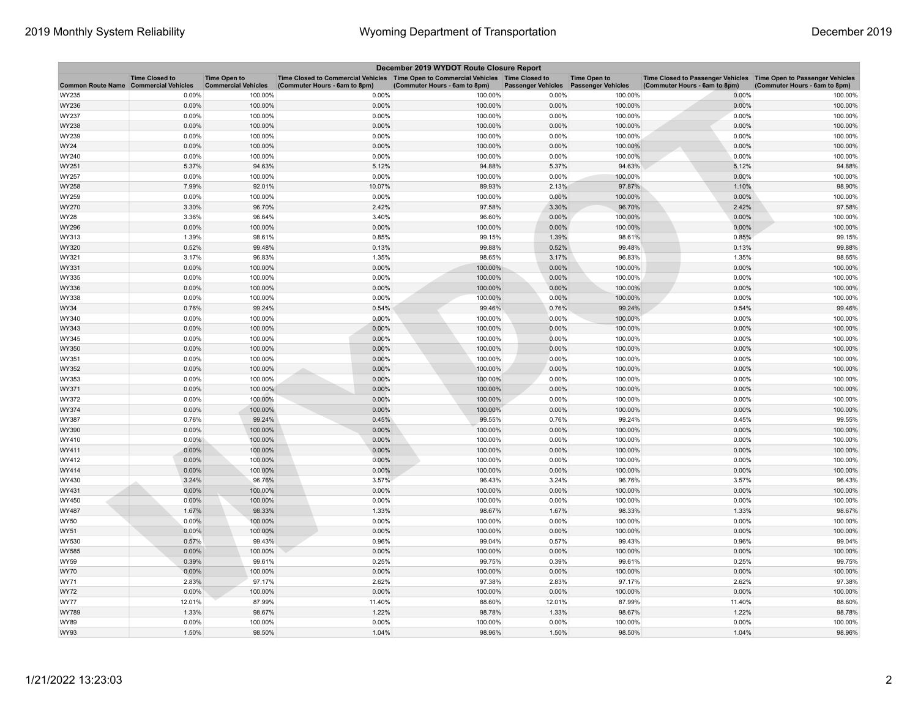| December 2019 WYDOT Route Closure Report |                       |                                                   |                                                                                                                       |                               |                           |                                                  |                                                                                                    |                               |  |
|------------------------------------------|-----------------------|---------------------------------------------------|-----------------------------------------------------------------------------------------------------------------------|-------------------------------|---------------------------|--------------------------------------------------|----------------------------------------------------------------------------------------------------|-------------------------------|--|
| Common Route Name Commercial Vehicles    | <b>Time Closed to</b> | <b>Time Open to</b><br><b>Commercial Vehicles</b> | Time Closed to Commercial Vehicles  Time Open to Commercial Vehicles  Time Closed to<br>(Commuter Hours - 6am to 8pm) | (Commuter Hours - 6am to 8pm) | <b>Passenger Vehicles</b> | <b>Time Open to</b><br><b>Passenger Vehicles</b> | Time Closed to Passenger Vehicles Time Open to Passenger Vehicles<br>(Commuter Hours - 6am to 8pm) | (Commuter Hours - 6am to 8pm) |  |
| WY235                                    | 0.00%                 | 100.00%                                           | 0.00%                                                                                                                 | 100.00%                       | 0.00%                     | 100.00%                                          | 0.00%                                                                                              | 100.00%                       |  |
| WY236                                    | 0.00%                 | 100.00%                                           | 0.00%                                                                                                                 | 100.00%                       | 0.00%                     | 100.00%                                          | 0.00%                                                                                              | 100.00%                       |  |
| WY237                                    | 0.00%                 | 100.00%                                           | 0.00%                                                                                                                 | 100.00%                       | 0.00%                     | 100.00%                                          | 0.00%                                                                                              | 100.00%                       |  |
| WY238                                    | 0.00%                 | 100.00%                                           | 0.00%                                                                                                                 | 100.00%                       | 0.00%                     | 100.00%                                          | 0.00%                                                                                              | 100.00%                       |  |
| WY239                                    | 0.00%                 | 100.00%                                           | 0.00%                                                                                                                 | 100.00%                       | 0.00%                     | 100.00%                                          | 0.00%                                                                                              | 100.00%                       |  |
| WY24                                     | 0.00%                 | 100.00%                                           | 0.00%                                                                                                                 | 100.00%                       | 0.00%                     | 100.00%                                          | $0.00\%$                                                                                           | 100.00%                       |  |
| WY240                                    | 0.00%                 | 100.00%                                           | 0.00%                                                                                                                 | 100.00%                       | 0.00%                     | 100.00%                                          | 0.00%                                                                                              | 100.00%                       |  |
| WY251                                    | 5.37%                 | 94.63%                                            | 5.12%                                                                                                                 | 94.88%                        | 5.37%                     | 94.63%                                           | 5.12%                                                                                              | 94.88%                        |  |
| WY257                                    | 0.00%                 | 100.00%                                           | 0.00%                                                                                                                 | 100.00%                       | 0.00%                     | 100.00%                                          | 0.00%                                                                                              | 100.00%                       |  |
| WY258                                    | 7.99%                 | 92.01%                                            | 10.07%                                                                                                                | 89.93%                        | 2.13%                     | 97.87%                                           | 1.10%                                                                                              | 98.90%                        |  |
| WY259                                    | 0.00%                 | 100.00%                                           | 0.00%                                                                                                                 | 100.00%                       | 0.00%                     | 100.00%                                          | 0.00%                                                                                              | 100.00%                       |  |
| WY270                                    | 3.30%                 | 96.70%                                            | 2.42%                                                                                                                 | 97.58%                        | 3.30%                     | 96.70%                                           | 2.42%                                                                                              | 97.58%                        |  |
| WY28                                     | 3.36%                 | 96.64%                                            | 3.40%                                                                                                                 | 96.60%                        | 0.00%                     | 100.00%                                          | 0.00%                                                                                              | 100.00%                       |  |
| WY296                                    | 0.00%                 | 100.00%                                           | 0.00%                                                                                                                 | 100.00%                       | 0.00%                     | 100.00%                                          | 0.00%                                                                                              | 100.00%                       |  |
| WY313                                    | 1.39%                 | 98.61%                                            | 0.85%                                                                                                                 | 99.15%                        | 1.39%                     | 98.61%                                           | 0.85%                                                                                              | 99.15%                        |  |
| WY320                                    | 0.52%                 | 99.48%                                            | 0.13%                                                                                                                 | 99.88%                        | 0.52%                     | 99.48%                                           | 0.13%                                                                                              | 99.88%                        |  |
| WY321                                    | 3.17%                 | 96.83%                                            | 1.35%                                                                                                                 | 98.65%                        | 3.17%                     | 96.83%                                           | 1.35%                                                                                              | 98.65%                        |  |
| WY331                                    | 0.00%                 | 100.00%                                           | 0.00%                                                                                                                 | 100.00%                       | 0.00%                     | 100.00%                                          | 0.00%                                                                                              | 100.00%                       |  |
| WY335                                    | 0.00%                 | 100.00%                                           | 0.00%                                                                                                                 | 100.00%                       | 0.00%                     | 100.00%                                          | 0.00%                                                                                              | 100.00%                       |  |
| WY336                                    | 0.00%                 | 100.00%                                           | 0.00%                                                                                                                 | 100.00%                       | 0.00%                     | 100.00%                                          | 0.00%                                                                                              | 100.00%                       |  |
| WY338                                    | 0.00%                 | 100.00%                                           | 0.00%                                                                                                                 | 100.00%                       | 0.00%                     | 100.00%                                          | 0.00%                                                                                              | 100.00%                       |  |
| WY34                                     | 0.76%                 | 99.24%                                            | 0.54%                                                                                                                 | 99.46%                        | 0.76%                     | 99.24%                                           | 0.54%                                                                                              | 99.46%                        |  |
| WY340                                    | 0.00%                 | 100.00%                                           | 0.00%                                                                                                                 | 100.00%                       | 0.00%                     | 100.00%                                          | 0.00%                                                                                              | 100.00%                       |  |
| WY343                                    | 0.00%                 | 100.00%                                           | 0.00%                                                                                                                 | 100.00%                       | 0.00%                     | 100.00%                                          | 0.00%                                                                                              | 100.00%                       |  |
| WY345<br>WY350                           | 0.00%<br>0.00%        | 100.00%<br>100.00%                                | 0.00%<br>0.00%                                                                                                        | 100.00%<br>100.00%            | 0.00%<br>0.00%            | 100.00%<br>100.00%                               | 0.00%<br>0.00%                                                                                     | 100.00%<br>100.00%            |  |
| WY351                                    | 0.00%                 | 100.00%                                           | 0.00%                                                                                                                 | 100.00%                       | 0.00%                     | 100.00%                                          | 0.00%                                                                                              | 100.00%                       |  |
| WY352                                    | 0.00%                 | 100.00%                                           | 0.00%                                                                                                                 | 100.00%                       | 0.00%                     | 100.00%                                          | 0.00%                                                                                              | 100.00%                       |  |
| WY353                                    | 0.00%                 | 100.00%                                           | 0.00%                                                                                                                 | 100.00%                       | 0.00%                     | 100.00%                                          | 0.00%                                                                                              | 100.00%                       |  |
| WY371                                    | 0.00%                 | 100.00%                                           | 0.00%                                                                                                                 | 100.00%                       | 0.00%                     | 100.00%                                          | 0.00%                                                                                              | 100.00%                       |  |
| WY372                                    | 0.00%                 | 100.00%                                           | 0.00%                                                                                                                 | 100.00%                       | 0.00%                     | 100.00%                                          | 0.00%                                                                                              | 100.00%                       |  |
| WY374                                    | 0.00%                 | 100.00%                                           | 0.00%                                                                                                                 | 100.00%                       | 0.00%                     | 100.00%                                          | 0.00%                                                                                              | 100.00%                       |  |
| WY387                                    | 0.76%                 | 99.24%                                            | 0.45%                                                                                                                 | 99.55%                        | 0.76%                     | 99.24%                                           | 0.45%                                                                                              | 99.55%                        |  |
| WY390                                    | 0.00%                 | 100.00%                                           | 0.00%                                                                                                                 | 100.00%                       | 0.00%                     | 100.00%                                          | $0.00\%$                                                                                           | 100.00%                       |  |
| WY410                                    | $0.00\%$              | 100.00%                                           | 0.00%                                                                                                                 | 100.00%                       | 0.00%                     | 100.00%                                          | 0.00%                                                                                              | 100.00%                       |  |
| WY411                                    | 0.00%                 | 100.00%                                           | 0.00%                                                                                                                 | 100.00%                       | 0.00%                     | 100.00%                                          | 0.00%                                                                                              | 100.00%                       |  |
| WY412                                    | 0.00%                 | 100.00%                                           | 0.00%                                                                                                                 | 100.00%                       | 0.00%                     | 100.00%                                          | 0.00%                                                                                              | 100.00%                       |  |
| WY414                                    | 0.00%                 | 100.00%                                           | 0.00%                                                                                                                 | 100.00%                       | 0.00%                     | 100.00%                                          | 0.00%                                                                                              | 100.00%                       |  |
| WY430                                    | 3.24%                 | 96.76%                                            | 3.57%                                                                                                                 | 96.43%                        | 3.24%                     | 96.76%                                           | 3.57%                                                                                              | 96.43%                        |  |
| WY431                                    | 0.00%                 | 100.00%                                           | 0.00%                                                                                                                 | 100.00%                       | 0.00%                     | 100.00%                                          | 0.00%                                                                                              | 100.00%                       |  |
| WY450                                    | 0.00%                 | 100.00%                                           | 0.00%                                                                                                                 | 100.00%                       | 0.00%                     | 100.00%                                          | 0.00%                                                                                              | 100.00%                       |  |
| WY487                                    | 1.67%                 | 98.33%                                            | 1.33%                                                                                                                 | 98.67%                        | 1.67%                     | 98.33%                                           | 1.33%                                                                                              | 98.67%                        |  |
| WY50                                     | 0.00%                 | 100.00%                                           | 0.00%                                                                                                                 | 100.00%                       | 0.00%                     | 100.00%                                          | 0.00%                                                                                              | 100.00%                       |  |
| WY51                                     | 0.00%                 | 100.00%                                           | 0.00%                                                                                                                 | 100.00%                       | 0.00%                     | 100.00%                                          | 0.00%                                                                                              | 100.00%                       |  |
| WY530                                    | 0.57%                 | 99.43%                                            | 0.96%                                                                                                                 | 99.04%                        | 0.57%                     | 99.43%                                           | 0.96%                                                                                              | 99.04%                        |  |
| WY585                                    | 0.00%                 | 100.00%                                           | 0.00%                                                                                                                 | 100.00%                       | 0.00%                     | 100.00%                                          | 0.00%                                                                                              | 100.00%                       |  |
| WY59                                     | 0.39%                 | 99.61%                                            | 0.25%                                                                                                                 | 99.75%                        | 0.39%                     | 99.61%                                           | 0.25%                                                                                              | 99.75%                        |  |
| WY70                                     | 0.00%                 | 100.00%                                           | 0.00%                                                                                                                 | 100.00%                       | 0.00%                     | 100.00%                                          | 0.00%                                                                                              | 100.00%                       |  |
| WY71                                     | 2.83%                 | 97.17%                                            | 2.62%                                                                                                                 | 97.38%                        | 2.83%                     | 97.17%                                           | 2.62%                                                                                              | 97.38%                        |  |
| WY72                                     | 0.00%                 | 100.00%                                           | 0.00%                                                                                                                 | 100.00%                       | 0.00%                     | 100.00%                                          | 0.00%                                                                                              | 100.00%                       |  |
| WY77                                     | 12.01%                | 87.99%                                            | 11.40%                                                                                                                | 88.60%                        | 12.01%                    | 87.99%                                           | 11.40%                                                                                             | 88.60%                        |  |
| WY789                                    | 1.33%                 | 98.67%                                            | 1.22%                                                                                                                 | 98.78%                        | 1.33%                     | 98.67%                                           | 1.22%                                                                                              | 98.78%                        |  |
| WY89                                     | 0.00%                 | 100.00%                                           | 0.00%                                                                                                                 | 100.00%                       | 0.00%                     | 100.00%                                          | 0.00%                                                                                              | 100.00%                       |  |
| WY93                                     | 1.50%                 | 98.50%                                            | 1.04%                                                                                                                 | 98.96%                        | 1.50%                     | 98.50%                                           | 1.04%                                                                                              | 98.96%                        |  |